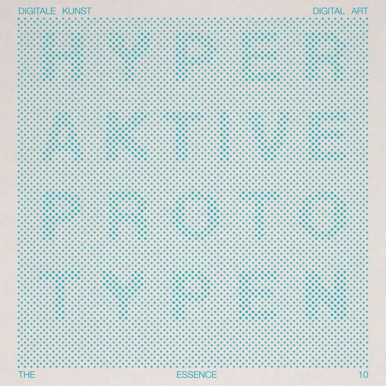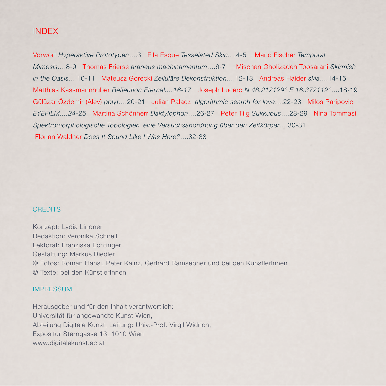# INDEX

Vorwort *Hyperaktive Prototypen*....3 Ella Esque *Tesselated Skin*....4-5 Mario Fischer *Temporal Mimesis*....8-9 Thomas Frierss *araneus machinamentum*....6-7 Mischan Gholizadeh Toosarani *Skirmish in the Oasis*....10-11 Mateusz Gorecki *Zelluläre Dekonstruktion*....12-13 Andreas Haider *skia*....14-15 Matthias Kassmannhuber *Reflection Eternal....16-17* Joseph Lucero *N 48.212129° E 16.372112°*....18-19 Gülüzar Özdemir (Alev) *polyt*....20-21 Julian Palacz *algorithmic search for love*....22-23 Milos Paripovic *EYEFILM....24-25* Martina Schönherr *Daktylophon*....26-27 Peter Tilg *Sukkubus*....28-29Nina Tommasi *Spektromorphologische Topologien\_eine Versuchsanordnung über den Zeitkörper*....30-31 Florian Waldner *Does It Sound Like I Was Here?*....32-33

#### **CREDITS**

Konzept: Lydia Lindner Redaktion: Veronika Schnell Lektorat: Franziska Echtinger Gestaltung: Markus Riedler © Fotos: Roman Hansi, Peter Kainz, Gerhard Ramsebner und bei den KünstlerInnen © Texte: bei den KünstlerInnen

#### **IMPRESSUM**

Herausgeber und für den Inhalt verantwortlich: Universität für angewandte Kunst Wien, Abteilung Digitale Kunst, Leitung: Univ.-Prof. Virgil Widrich, Expositur Sterngasse 13, 1010 Wien www.digitalekunst.ac.at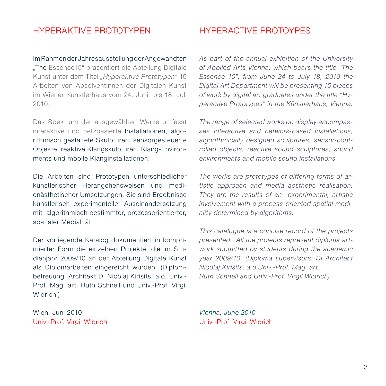# Hyperaktive Prototypen

Im Rahmen der Jahresausstellung der Angewandten "The Essence10" präsentiert die Abteilung Digitale Kunst unter dem Titel *"Hyperaktive Prototypen"* 15 Arbeiten von AbsolventInnen der Digitalen Kunst im Wiener Künstlerhaus vom 24. Juni bis 18. Juli 2010.

Das Spektrum der ausgewählten Werke umfasst interaktive und netzbasierte Installationen, algorithmisch gestaltete Skulpturen, sensorgesteuerte Objekte, reaktive Klangskulpturen, Klang-Environments und mobile Klanginstallationen.

Die Arbeiten sind Prototypen unterschiedlicher künstlerischer Herangehensweisen und medienästhetischer Umsetzungen. Sie sind Ergebnisse künstlerisch experimenteller Auseinandersetzung mit algorithmisch bestimmter, prozessorientierter, spatialer Medialität.

Der vorliegende Katalog dokumentiert in komprimierter Form die einzelnen Projekte, die im Studienjahr 2009/10 an der Abteilung Digitale Kunst als Diplomarbeiten eingereicht wurden. (Diplombetreuung: Architekt DI Nicolaj Kirisits, a.o. Univ.- Prof. Mag. art. Ruth Schnell und Univ.-Prof. Virgil Widrich.)

Wien, Juni 2010 Univ.-Prof. Virgil Widrich

# Hyperactive Protoypes

*As part of the annual exhibition of the University of Applied Arts Vienna, which bears the title "The Essence 10", from June 24 to July 18, 2010 the Digital Art Department will be presenting 15 pieces of work by digital art graduates under the title "Hyperactive Prototypes" in the Künstlerhaus, Vienna.* 

*The range of selected works on display encompasses interactive and network-based installations, algorithmically designed sculptures, sensor-controlled objects, reactive sound sculptures, sound environments and mobile sound installations.* 

*The works are prototypes of differing forms of artistic approach and media aesthetic realisation. They are the results of an experimental, artistic involvement with a process-oriented spatial mediality determined by algorithms.*

*This catalogue is a concise record of the projects presented. All the projects represent diploma artwork submitted by students during the academic year 2009/10. (Diploma supervisors: DI Architect Nicolaj Kirisits, a.o.Univ.-Prof. Mag. art. Ruth Schnell and Univ.-Prof. Virgil Widrich).*

*Vienna, June 2010* Univ.-Prof. Virgil Widrich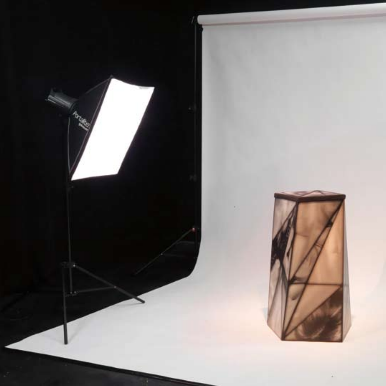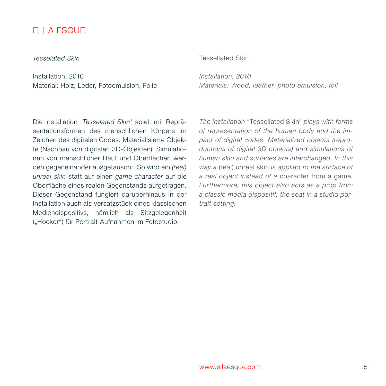# Ella Esque

#### *Tesselated Skin*

Installation, 2010 Material: Holz, Leder, Fotoemulsion, Folie Tessellated Skin

*Installation, 2010 Materials: Wood, leather, photo emulsion, foil*

Die Installation "*Tesselated Skin"* spielt mit Repräsentationsformen des menschlichen Körpers im Zeichen des digitalen Codes. Materialisierte Objekte (Nachbau von digitalen 3D-Objekten), Simulationen von menschlicher Haut und Oberflächen werden gegeneinander ausgetauscht. So wird ein *(real) unreal skin* statt auf einen *game character* auf die Oberfläche eines realen Gegenstands aufgetragen. Dieser Gegenstand fungiert darüberhinaus in der Installation auch als Versatzstück eines klassischen Mediendispositivs, nämlich als Sitzgelegenheit ("Hocker") für Portrait-Aufnahmen im Fotostudio.

*The installation* "Tessellated Skin" *plays with forms of representation of the human body and the impact of digital codes. Materialized objects (reproductions of digital 3D objects) and simulations of human skin and surfaces are interchanged. In this way a* (real) unreal skin *is applied to the surface of a real object instead of a* character from a game*. Furthermore, this object also acts as a prop from a classic media dispositif, the seat in a studio portrait setting.*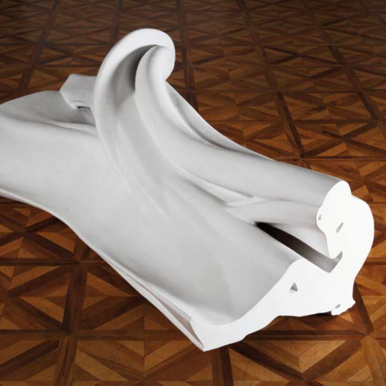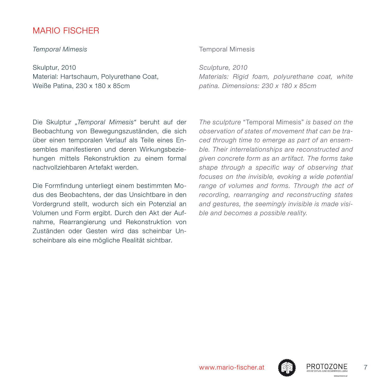# MARIO FISCHER

#### *Temporal Mimesis*

Skulptur, 2010 Material: Hartschaum, Polyurethane Coat, Weiße Patina, 230 x 180 x 85cm

Temporal Mimesis

*Sculpture, 2010 Materials: Rigid foam, polyurethane coat, white patina. Dimensions: 230 x 180 x 85cm*

Die Skulptur *"Temporal Mimesis"* beruht auf der Beobachtung von Bewegungszuständen, die sich über einen temporalen Verlauf als Teile eines Ensembles manifestieren und deren Wirkungsbeziehungen mittels Rekonstruktion zu einem formal nachvollziehbaren Artefakt werden.

Die Formfindung unterliegt einem bestimmten Modus des Beobachtens, der das Unsichtbare in den Vordergrund stellt, wodurch sich ein Potenzial an Volumen und Form ergibt. Durch den Akt der Aufnahme, Rearrangierung und Rekonstruktion von Zuständen oder Gesten wird das scheinbar Unscheinbare als eine mögliche Realität sichtbar.

*The sculpture* "Temporal Mimesis" *is based on the observation of states of movement that can be traced through time to emerge as part of an ensemble. Their interrelationships are reconstructed and given concrete form as an artifact. The forms take shape through a specific way of observing that focuses on the invisible, evoking a wide potential range of volumes and forms. Through the act of recording, rearranging and reconstructing states and gestures, the seemingly invisible is made visible and becomes a possible reality.* 



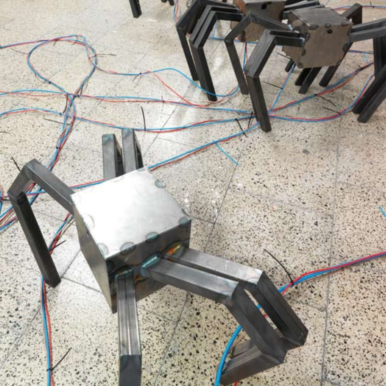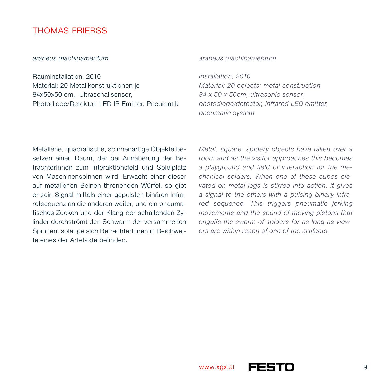## THOMAS FRIERSS

#### *araneus machinamentum*

Rauminstallation, 2010 Material: 20 Metallkonstruktionen je 84x50x50 cm, Ultraschallsensor, Photodiode/Detektor, LED IR Emitter, Pneumatik

#### *araneus machinamentum*

*Installation, 2010 Material: 20 objects: metal construction 84 x 50 x 50cm, ultrasonic sensor, photodiode/detector, infrared LED emitter, pneumatic system*

Metallene, quadratische, spinnenartige Objekte besetzen einen Raum, der bei Annäherung der BetrachterInnen zum Interaktionsfeld und Spielplatz von Maschinenspinnen wird. Erwacht einer dieser auf metallenen Beinen thronenden Würfel, so gibt er sein Signal mittels einer gepulsten binären Infrarotsequenz an die anderen weiter, und ein pneumatisches Zucken und der Klang der schaltenden Zylinder durchströmt den Schwarm der versammelten Spinnen, solange sich BetrachterInnen in Reichweite eines der Artefakte befinden.

*Metal, square, spidery objects have taken over a room and as the visitor approaches this becomes a playground and field of interaction for the mechanical spiders. When one of these cubes elevated on metal legs is stirred into action, it gives a signal to the others with a pulsing binary infrared sequence. This triggers pneumatic jerking movements and the sound of moving pistons that engulfs the swarm of spiders for as long as viewers are within reach of one of the artifacts.* 

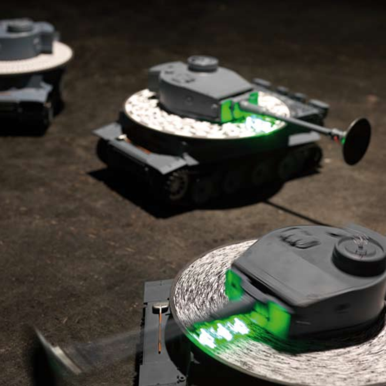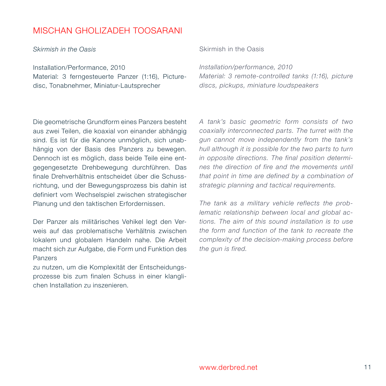### Mischan Gholizadeh Toosarani

*Skirmish in the Oasis* 

Installation/Performance, 2010 Material: 3 ferngesteuerte Panzer (1:16), Picturedisc, Tonabnehmer, Miniatur-Lautsprecher

Die geometrische Grundform eines Panzers besteht aus zwei Teilen, die koaxial von einander abhängig sind. Es ist für die Kanone unmöglich, sich unabhängig von der Basis des Panzers zu bewegen. Dennoch ist es möglich, dass beide Teile eine entgegengesetzte Drehbewegung durchführen. Das finale Drehverhältnis entscheidet über die Schussrichtung, und der Bewegungsprozess bis dahin ist definiert vom Wechselspiel zwischen strategischer Planung und den taktischen Erfordernissen.

Der Panzer als militärisches Vehikel legt den Verweis auf das problematische Verhältnis zwischen lokalem und globalem Handeln nahe. Die Arbeit macht sich zur Aufgabe, die Form und Funktion des Panzers

zu nutzen, um die Komplexität der Entscheidungsprozesse bis zum finalen Schuss in einer klanglichen Installation zu inszenieren.

Skirmish in the Oasis

*Installation/performance, 2010 Material: 3 remote-controlled tanks (1:16), picture discs, pickups, miniature loudspeakers*

*A tank's basic geometric form consists of two coaxially interconnected parts. The turret with the gun cannot move independently from the tank's hull although it is possible for the two parts to turn in opposite directions. The final position determines the direction of fire and the movements until that point in time are defined by a combination of strategic planning and tactical requirements.* 

*The tank as a military vehicle reflects the problematic relationship between local and global actions. The aim of this sound installation is to use the form and function of the tank to recreate the complexity of the decision-making process before the gun is fired.*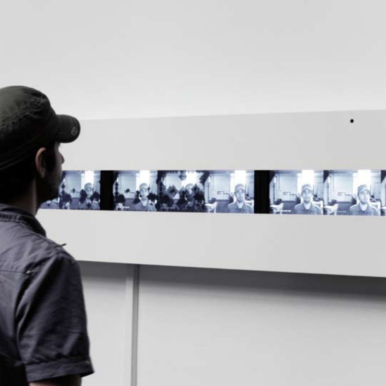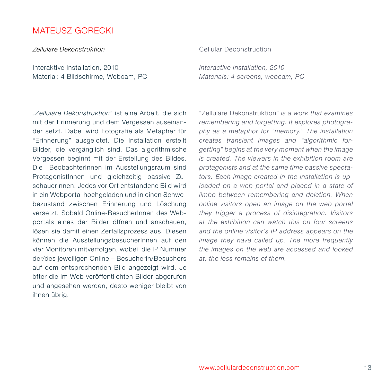### MATEUSZ GORECKI

*Zelluläre Dekonstruktion*

Interaktive Installation, 2010 Material: 4 Bildschirme, Webcam, PC

*"Zelluläre Dekonstruktion"* ist eine Arbeit, die sich mit der Erinnerung und dem Vergessen auseinander setzt. Dabei wird Fotografie als Metapher für "Erinnerung" ausgelotet. Die Installation erstellt Bilder, die vergänglich sind. Das algorithmische Vergessen beginnt mit der Erstellung des Bildes. Die BeobachterInnen im Ausstellungsraum sind ProtagonistInnen und gleichzeitig passive ZuschauerInnen. Jedes vor Ort entstandene Bild wird in ein Webportal hochgeladen und in einen Schwebezustand zwischen Erinnerung und Löschung versetzt. Sobald Online-BesucherInnen des Webportals eines der Bilder öffnen und anschauen, lösen sie damit einen Zerfallsprozess aus. Diesen können die AusstellungsbesucherInnen auf den vier Monitoren mitverfolgen, wobei die IP Nummer der/des jeweiligen Online – Besucherin/Besuchers auf dem entsprechenden Bild angezeigt wird. Je öfter die im Web veröffentlichten Bilder abgerufen und angesehen werden, desto weniger bleibt von ihnen übrig.

Cellular Deconstruction

*Interactive Installation, 2010 Materials: 4 screens, webcam, PC*

"Zelluläre Dekonstruktion" *is a work that examines remembering and forgetting. It explores photography as a metaphor for "memory." The installation creates transient images and "algorithmic forgetting" begins at the very moment when the image is created. The viewers in the exhibition room are protagonists and at the same time passive spectators. Each image created in the installation is uploaded on a web portal and placed in a state of limbo between remembering and deletion. When online visitors open an image on the web portal they trigger a process of disintegration. Visitors at the exhibition can watch this on four screens and the online visitor's IP address appears on the image they have called up. The more frequently the images on the web are accessed and looked at, the less remains of them.*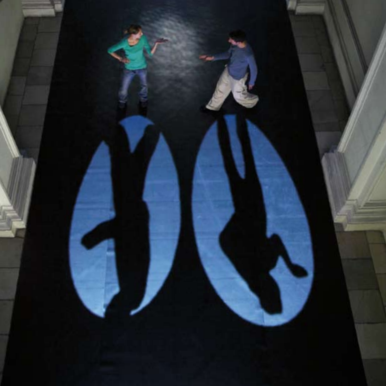![](_page_13_Picture_0.jpeg)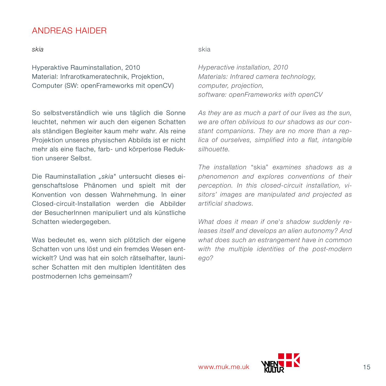# ANDREAS HAIDER

#### *skia*

Hyperaktive Rauminstallation, 2010 Material: Infrarotkameratechnik, Projektion, Computer (SW: openFrameworks mit openCV)

So selbstverständlich wie uns täglich die Sonne leuchtet, nehmen wir auch den eigenen Schatten als ständigen Begleiter kaum mehr wahr. Als reine Projektion unseres physischen Abbilds ist er nicht mehr als eine flache, farb- und körperlose Reduktion unserer Selbst.

Die Rauminstallation *"skia"* untersucht dieses eigenschaftslose Phänomen und spielt mit der Konvention von dessen Wahrnehmung. In einer Closed-circuit-Installation werden die Abbilder der BesucherInnen manipuliert und als künstliche Schatten wiedergegeben.

Was bedeutet es, wenn sich plötzlich der eigene Schatten von uns löst und ein fremdes Wesen entwickelt? Und was hat ein solch rätselhafter, launischer Schatten mit den multiplen Identitäten des postmodernen Ichs gemeinsam?

#### skia

*Hyperactive installation, 2010 Materials: Infrared camera technology, computer, projection, software: openFrameworks with openCV*

*As they are as much a part of our lives as the sun, we are often oblivious to our shadows as our constant companions. They are no more than a replica of ourselves, simplified into a flat, intangible silhouette.* 

*The installation* "skia" *examines shadows as a phenomenon and explores conventions of their perception. In this closed-circuit installation, visitors' images are manipulated and projected as artificial shadows.*

*What does it mean if one's shadow suddenly releases itself and develops an alien autonomy? And what does such an estrangement have in common with the multiple identities of the post-modern ego?*

![](_page_14_Picture_11.jpeg)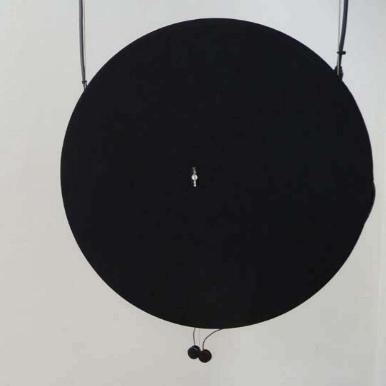![](_page_15_Picture_0.jpeg)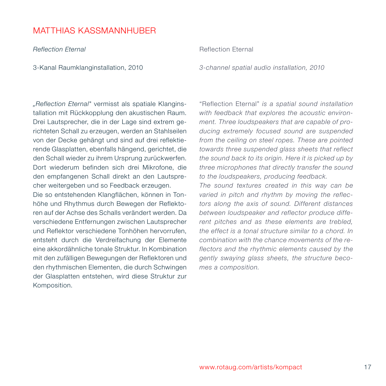### MATTHIAS KASSMANNHUBER

*Reflection Eternal*

3-Kanal Raumklanginstallation, 2010

*"Reflection Eternal"* vermisst als spatiale Klanginstallation mit Rückkopplung den akustischen Raum. Drei Lautsprecher, die in der Lage sind extrem gerichteten Schall zu erzeugen, werden an Stahlseilen von der Decke gehängt und sind auf drei reflektierende Glasplatten, ebenfalls hängend, gerichtet, die den Schall wieder zu ihrem Ursprung zurückwerfen. Dort wiederum befinden sich drei Mikrofone, die den empfangenen Schall direkt an den Lautsprecher weitergeben und so Feedback erzeugen.

Die so entstehenden Klangflächen, können in Tonhöhe und Rhythmus durch Bewegen der Reflektoren auf der Achse des Schalls verändert werden. Da verschiedene Entfernungen zwischen Lautsprecher und Reflektor verschiedene Tonhöhen hervorrufen, entsteht durch die Verdreifachung der Elemente eine akkordähnliche tonale Struktur. In Kombination mit den zufälligen Bewegungen der Reflektoren und den rhythmischen Elementen, die durch Schwingen der Glasplatten entstehen, wird diese Struktur zur Komposition.

Reflection Eternal

*3-channel spatial audio installation, 2010*

"Reflection Eternal" *is a spatial sound installation with feedback that explores the acoustic environment. Three loudspeakers that are capable of producing extremely focused sound are suspended from the ceiling on steel ropes. These are pointed towards three suspended glass sheets that reflect the sound back to its origin. Here it is picked up by three microphones that directly transfer the sound to the loudspeakers, producing feedback.* 

*The sound textures created in this way can be varied in pitch and rhythm by moving the reflectors along the axis of sound. Different distances between loudspeaker and reflector produce different pitches and as these elements are trebled, the effect is a tonal structure similar to a chord. In combination with the chance movements of the reflectors and the rhythmic elements caused by the gently swaying glass sheets, the structure becomes a composition.*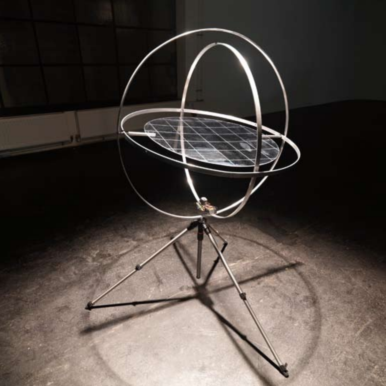![](_page_17_Picture_0.jpeg)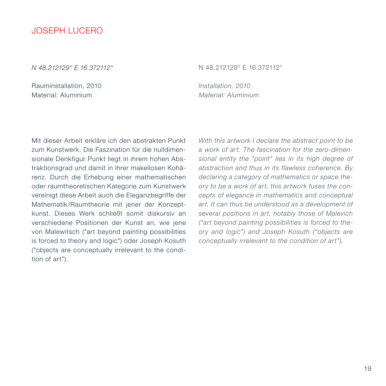# JOSEPH LUCERO

*N 48.212129° E 16.372112°*

Rauminstallation, 2010 Material: Aluminium

#### N 48.212129° E 16.372112°

*Installation, 2010 Material: Aluminium*

Mit dieser Arbeit erkläre ich den abstrakten Punkt zum Kunstwerk. Die Faszination für die nulldimensionale Denkfigur Punkt liegt in ihrem hohen Abstraktionsgrad und damit in ihrer makellosen Kohärenz. Durch die Erhebung einer mathematischen oder raumtheoretischen Kategorie zum Kunstwerk vereinigt diese Arbeit auch die Eleganzbegriffe der Mathematik/Raumtheorie mit jener der Konzeptkunst. Dieses Werk schließt somit diskursiv an verschiedene Positionen der Kunst an, wie jene von Malewitsch ("art beyond painting possibilities is forced to theory and logic") oder Joseph Kosuth ("objects are conceptually irrelevant to the condition of art").

*With this artwork I declare the abstract point to be a work of art. The fascination for the zero-dimensional entity the "point" lies in its high degree of abstraction and thus in its flawless coherence. By declaring a category of mathematics or space theory to be a work of art, this artwork fuses the concepts of elegance in mathematics and conceptual art. It can thus be understood as a development of several positions in art, notably those of Malevich ("art beyond painting possibilities is forced to theory and logic") and Joseph Kosuth ("objects are conceptually irrelevant to the condition of art").*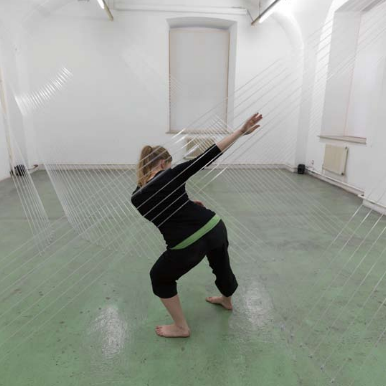![](_page_19_Picture_0.jpeg)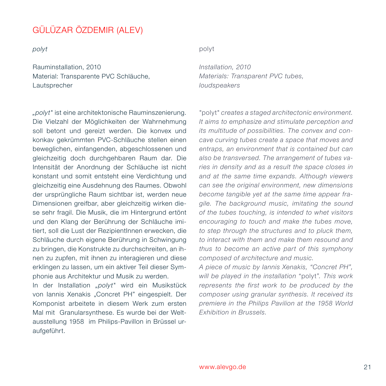# Gülüzar Özdemir (Alev)

#### *polyt*

Rauminstallation, 2010 Material: Transparente PVC Schläuche, Lautsprecher

*"polyt"* ist eine architektonische Rauminszenierung. Die Vielzahl der Möglichkeiten der Wahrnehmung soll betont und gereizt werden. Die konvex und konkav gekrümmten PVC-Schläuche stellen einen beweglichen, einfangenden, abgeschlossenen und gleichzeitig doch durchgehbaren Raum dar. Die Intensität der Anordnung der Schläuche ist nicht konstant und somit entsteht eine Verdichtung und gleichzeitig eine Ausdehnung des Raumes. Obwohl der ursprüngliche Raum sichtbar ist, werden neue Dimensionen greifbar, aber gleichzeitig wirken diese sehr fragil. Die Musik, die im Hintergrund ertönt und den Klang der Berührung der Schläuche imitiert, soll die Lust der RezipientInnen erwecken, die Schläuche durch eigene Berührung in Schwingung zu bringen, die Konstrukte zu durchschreiten, an ihnen zu zupfen, mit ihnen zu interagieren und diese erklingen zu lassen, um ein aktiver Teil dieser Symphonie aus Architektur und Musik zu werden.

In der Installation *"polyt"* wird ein Musikstück von Iannis Xenakis "Concret PH" eingespielt. Der Komponist arbeitete in diesem Werk zum ersten Mal mit Granularsynthese. Es wurde bei der Weltausstellung 1958 im Philips-Pavillon in Brüssel uraufgeführt.

polyt

*Installation, 2010 Materials: Transparent PVC tubes, loudspeakers*

"polyt" *creates a staged architectonic environment. It aims to emphasize and stimulate perception and its multitude of possibilities. The convex and concave curving tubes create a space that moves and entraps, an environment that is contained but can also be transversed. The arrangement of tubes varies in density and as a result the space closes in and at the same time expands. Although viewers can see the original environment, new dimensions become tangible yet at the same time appear fragile. The background music, imitating the sound of the tubes touching, is intended to whet visitors encouraging to touch and make the tubes move, to step through the structures and to pluck them, to interact with them and make them resound and thus to become an active part of this symphony composed of architecture and music.* 

*A piece of music by Iannis Xenakis, "Concret PH", will be played in the installation* "polyt"*. This work represents the first work to be produced by the composer using granular synthesis. It received its premiere in the Philips Pavilion at the 1958 World Exhibition in Brussels.*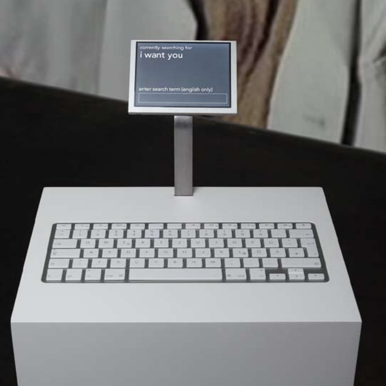![](_page_21_Picture_0.jpeg)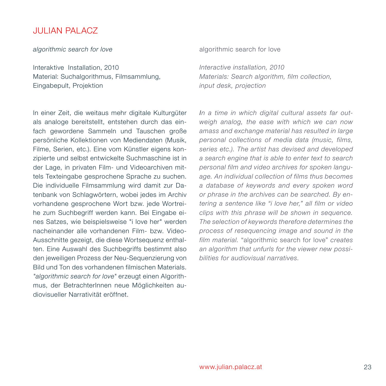### JULIAN PALacz

*algorithmic search for love*

Interaktive Installation, 2010 Material: Suchalgorithmus, Filmsammlung, Eingabepult, Projektion

In einer Zeit, die weitaus mehr digitale Kulturgüter als analoge bereitstellt, entstehen durch das einfach gewordene Sammeln und Tauschen große persönliche Kollektionen von Mediendaten (Musik, Filme, Serien, etc.). Eine vom Künstler eigens konzipierte und selbst entwickelte Suchmaschine ist in der Lage, in privaten Film- und Videoarchiven mittels Texteingabe gesprochene Sprache zu suchen. Die individuelle Filmsammlung wird damit zur Datenbank von Schlagwörtern, wobei jedes im Archiv vorhandene gesprochene Wort bzw. jede Wortreihe zum Suchbegriff werden kann. Bei Eingabe eines Satzes, wie beispielsweise "i love her" werden nacheinander alle vorhandenen Film- bzw. Video-Ausschnitte gezeigt, die diese Wortsequenz enthalten. Eine Auswahl des Suchbegriffs bestimmt also den jeweiligen Prozess der Neu-Sequenzierung von Bild und Ton des vorhandenen filmischen Materials. *"algorithmic search for love"* erzeugt einen Algorithmus, der BetrachterInnen neue Möglichkeiten audiovisueller Narrativität eröffnet.

algorithmic search for love

*Interactive installation, 2010 Materials: Search algorithm, film collection, input desk, projection*

*In a time in which digital cultural assets far outweigh analog, the ease with which we can now amass and exchange material has resulted in large personal collections of media data (music, films, series etc.). The artist has devised and developed a search engine that is able to enter text to search personal film and video archives for spoken language. An individual collection of films thus becomes a database of keywords and every spoken word or phrase in the archives can be searched. By entering a sentence like "i love her," all film or video clips with this phrase will be shown in sequence. The selection of keywords therefore determines the process of resequencing image and sound in the film material.* "algorithmic search for love" *creates an algorithm that unfurls for the viewer new possibilities for audiovisual narratives.*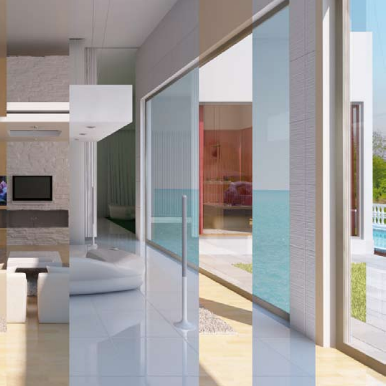![](_page_23_Picture_0.jpeg)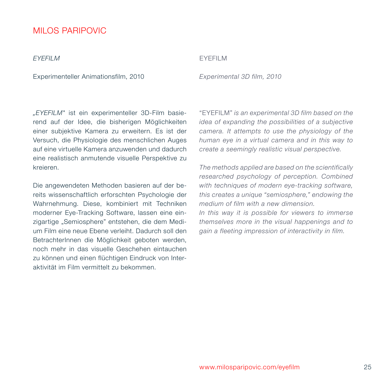### MILOS PARIPOVIC

#### *EYEFILM*

Experimenteller Animationsfilm, 2010

#### EYEFILM

*Experimental 3D film, 2010*

*"EYEFILM"* ist ein experimenteller 3D-Film basierend auf der Idee, die bisherigen Möglichkeiten einer subjektive Kamera zu erweitern. Es ist der Versuch, die Physiologie des menschlichen Auges auf eine virtuelle Kamera anzuwenden und dadurch eine realistisch anmutende visuelle Perspektive zu kreieren.

Die angewendeten Methoden basieren auf der bereits wissenschaftlich erforschten Psychologie der Wahrnehmung. Diese, kombiniert mit Techniken moderner Eye-Tracking Software, lassen eine einzigartige "Semiosphere" entstehen, die dem Medium Film eine neue Ebene verleiht. Dadurch soll den BetrachterInnen die Möglichkeit geboten werden, noch mehr in das visuelle Geschehen eintauchen zu können und einen flüchtigen Eindruck von Interaktivität im Film vermittelt zu bekommen.

"EYEFILM" *is an experimental 3D film based on the idea of expanding the possibilities of a subjective camera. It attempts to use the physiology of the human eye in a virtual camera and in this way to create a seemingly realistic visual perspective.*

*The methods applied are based on the scientifically researched psychology of perception. Combined with techniques of modern eye-tracking software, this creates a unique "semiosphere," endowing the medium of film with a new dimension. In this way it is possible for viewers to immerse themselves more in the visual happenings and to gain a fleeting impression of interactivity in film.*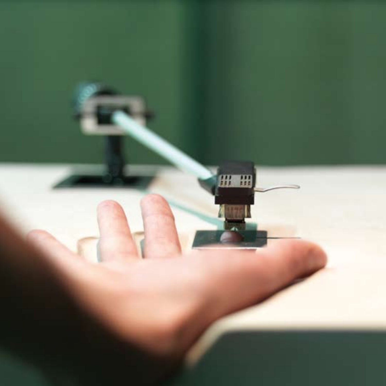![](_page_25_Picture_0.jpeg)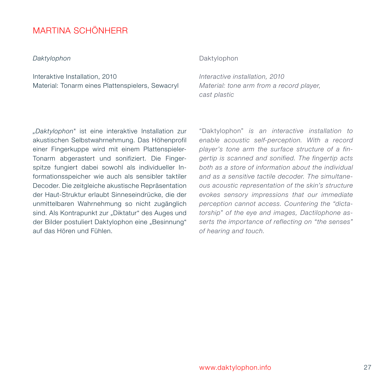# Martina Schönherr

#### *Daktylophon*

Interaktive Installation, 2010 Material: Tonarm eines Plattenspielers, Sewacryl

#### Daktylophon

*Interactive installation, 2010 Material: tone arm from a record player, cast plastic*

*"Daktylophon"* ist eine interaktive Installation zur akustischen Selbstwahrnehmung. Das Höhenprofil einer Fingerkuppe wird mit einem Plattenspieler-Tonarm abgerastert und sonifiziert. Die Fingerspitze fungiert dabei sowohl als individueller Informationsspeicher wie auch als sensibler taktiler Decoder. Die zeitgleiche akustische Repräsentation der Haut-Struktur erlaubt Sinneseindrücke, die der unmittelbaren Wahrnehmung so nicht zugänglich sind. Als Kontrapunkt zur "Diktatur" des Auges und der Bilder postuliert Daktylophon eine "Besinnung" auf das Hören und Fühlen.

"Daktylophon" *is an interactive installation to enable acoustic self-perception. With a record player's tone arm the surface structure of a fingertip is scanned and sonified. The fingertip acts both as a store of information about the individual and as a sensitive tactile decoder. The simultaneous acoustic representation of the skin's structure evokes sensory impressions that our immediate perception cannot access. Countering the "dictatorship" of the eye and images, Dactilophone asserts the importance of reflecting on "the senses" of hearing and touch.*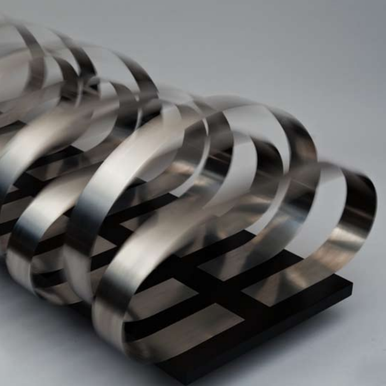![](_page_27_Picture_0.jpeg)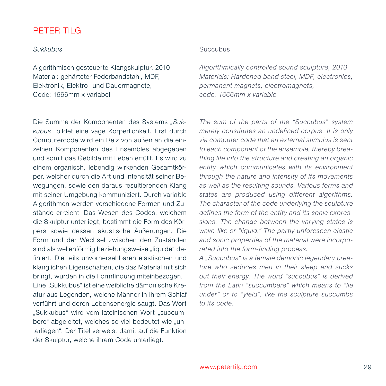# PETER TILG

#### *Sukkubus*

Algorithmisch gesteuerte Klangskulptur, 2010 Material: gehärteter Federbandstahl, MDF, Elektronik, Elektro- und Dauermagnete, Code; 1666mm x variabel

Die Summe der Komponenten des Systems *"Sukkubus"* bildet eine vage Körperlichkeit. Erst durch Computercode wird ein Reiz von außen an die einzelnen Komponenten des Ensembles abgegeben und somit das Gebilde mit Leben erfüllt. Es wird zu einem organisch, lebendig wirkenden Gesamtkörper, welcher durch die Art und Intensität seiner Bewegungen, sowie den daraus resultierenden Klang mit seiner Umgebung kommuniziert. Durch variable Algorithmen werden verschiedene Formen und Zustände erreicht. Das Wesen des Codes, welchem die Skulptur unterliegt, bestimmt die Form des Körpers sowie dessen akustische Äußerungen. Die Form und der Wechsel zwischen den Zuständen sind als wellenförmig beziehungsweise "liquide" definiert. Die teils unvorhersehbaren elastischen und klanglichen Eigenschaften, die das Material mit sich bringt, wurden in die Formfindung miteinbezogen. Eine "Sukkubus" ist eine weibliche dämonische Kreatur aus Legenden, welche Männer in ihrem Schlaf verführt und deren Lebensenergie saugt. Das Wort "Sukkubus" wird vom lateinischen Wort "succumbere" abgeleitet, welches so viel bedeutet wie "unterliegen". Der Titel verweist damit auf die Funktion der Skulptur, welche ihrem Code unterliegt.

#### Succubus

*Algorithmically controlled sound sculpture, 2010 Materials: Hardened band steel, MDF, electronics, permanent magnets, electromagnets, code, 1666mm x variable*

*The sum of the parts of the "Succubus" system merely constitutes an undefined corpus. It is only via computer code that an external stimulus is sent to each component of the ensemble, thereby breathing life into the structure and creating an organic entity which communicates with its environment through the nature and intensity of its movements as well as the resulting sounds. Various forms and states are produced using different algorithms. The character of the code underlying the sculpture defines the form of the entity and its sonic expressions. The change between the varying states is wave-like or "liquid." The partly unforeseen elastic and sonic properties of the material were incorporated into the form-finding process.* 

*A "Succubus" is a female demonic legendary creature who seduces men in their sleep and sucks out their energy. The word "succubus" is derived from the Latin "succumbere" which means to "lie under" or to "yield", like the sculpture succumbs to its code.*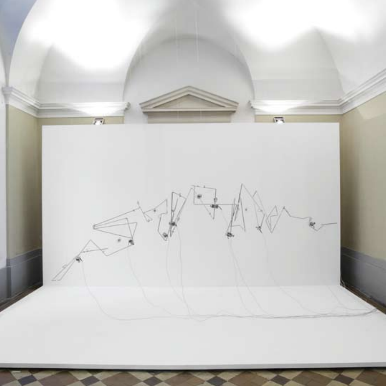![](_page_29_Picture_0.jpeg)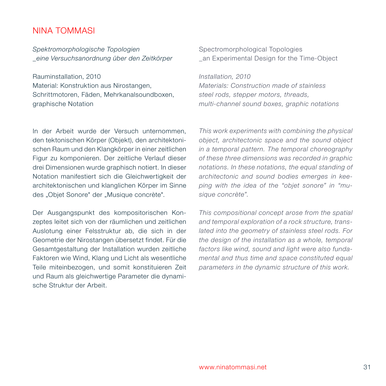### NINA TOMMASI

*Spektromorphologische Topologien \_eine Versuchsanordnung über den Zeitkörper*

Rauminstallation, 2010 Material: Konstruktion aus Nirostangen, Schrittmotoren, Fäden, Mehrkanalsoundboxen, graphische Notation

In der Arbeit wurde der Versuch unternommen, den tektonischen Körper (Objekt), den architektonischen Raum und den Klangkörper in einer zeitlichen Figur zu komponieren. Der zeitliche Verlauf dieser drei Dimensionen wurde graphisch notiert. In dieser Notation manifestiert sich die Gleichwertigkeit der architektonischen und klanglichen Körper im Sinne des "Objet Sonore" der "Musique concrète".

Der Ausgangspunkt des kompositorischen Konzeptes leitet sich von der räumlichen und zeitlichen Auslotung einer Felsstruktur ab, die sich in der Geometrie der Nirostangen übersetzt findet. Für die Gesamtgestaltung der Installation wurden zeitliche Faktoren wie Wind, Klang und Licht als wesentliche Teile miteinbezogen, und somit konstituieren Zeit und Raum als gleichwertige Parameter die dynamische Struktur der Arbeit.

Spectromorphological Topologies an Experimental Design for the Time-Object

*Installation, 2010 Materials: Construction made of stainless steel rods, stepper motors, threads, multi-channel sound boxes, graphic notations*

*This work experiments with combining the physical object, architectonic space and the sound object in a temporal pattern. The temporal choreography of these three dimensions was recorded in graphic notations. In these notations, the equal standing of architectonic and sound bodies emerges in keeping with the idea of the "objet sonore" in "musique concrète".*

*This compositional concept arose from the spatial and temporal exploration of a rock structure, translated into the geometry of stainless steel rods. For the design of the installation as a whole, temporal factors like wind, sound and light were also fundamental and thus time and space constituted equal parameters in the dynamic structure of this work.*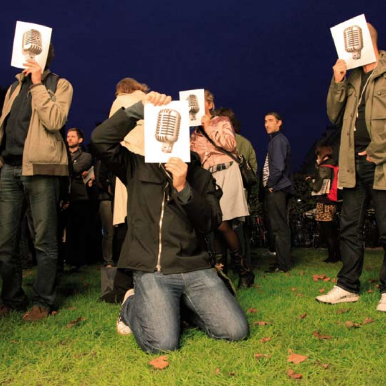![](_page_31_Picture_0.jpeg)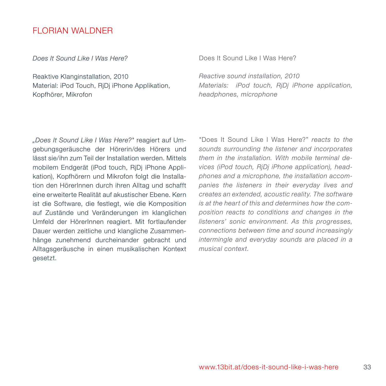### FI ORIAN WAI DNFR

*Does It Sound Like I Was Here?*

Reaktive Klanginstallation, 2010 Material: iPod Touch, RjDj iPhone Applikation, Kopfhörer, Mikrofon

Does It Sound Like I Was Here?

*Reactive sound installation, 2010 Materials: iPod touch, RjDj iPhone application, headphones, microphone*

*"Does It Sound Like I Was Here?"* reagiert auf Umgebungsgeräusche der Hörerin/des Hörers und lässt sie/ihn zum Teil der Installation werden. Mittels mobilem Endgerät (iPod touch, RjDj iPhone Applikation), Kopfhörern und Mikrofon folgt die Installation den HörerInnen durch ihren Alltag und schafft eine erweiterte Realität auf akustischer Ebene. Kern ist die Software, die festlegt, wie die Komposition auf Zustände und Veränderungen im klanglichen Umfeld der HörerInnen reagiert. Mit fortlaufender Dauer werden zeitliche und klangliche Zusammenhänge zunehmend durcheinander gebracht und Alltagsgeräusche in einen musikalischen Kontext gesetzt.

"Does It Sound Like I Was Here?" *reacts to the sounds surrounding the listener and incorporates them in the installation. With mobile terminal devices (iPod touch, RjDj iPhone application), headphones and a microphone, the installation accompanies the listeners in their everyday lives and creates an extended, acoustic reality. The software is at the heart of this and determines how the composition reacts to conditions and changes in the listeners' sonic environment. As this progresses, connections between time and sound increasingly intermingle and everyday sounds are placed in a musical context.*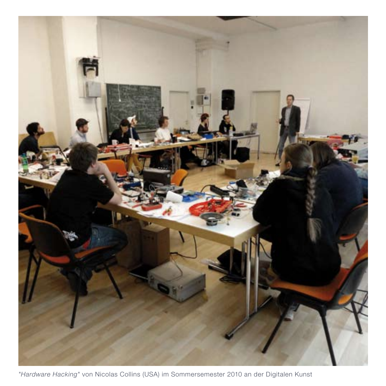![](_page_33_Picture_0.jpeg)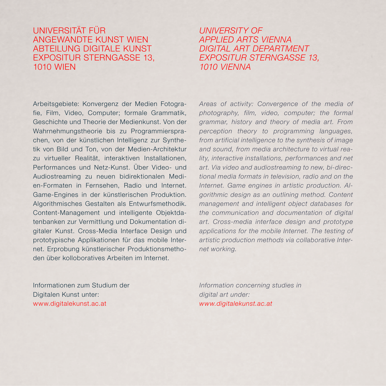### Universität für angewandte Kunst Wien ABTEILUNG DIGITALE KUNST Expositur Sterngasse 13, 1010 Wien

*University of Applied Arts Vienna Digital Art Department Expositur Sterngasse 13, 1010 Vienna*

Arbeitsgebiete: Konvergenz der Medien Fotografie, Film, Video, Computer; formale Grammatik, Geschichte und Theorie der Medienkunst. Von der Wahrnehmungstheorie bis zu Programmiersprachen, von der künstlichen Intelligenz zur Synthetik von Bild und Ton, von der Medien-Architektur zu virtueller Realität, interaktiven Installationen, Performances und Netz-Kunst. Über Video- und Audiostreaming zu neuen bidirektionalen Medien-Formaten in Fernsehen, Radio und Internet. Game-Engines in der künstlerischen Produktion. Algorithmisches Gestalten als Entwurfsmethodik. Content-Management und intelligente Objektdatenbanken zur Vermittlung und Dokumentation digitaler Kunst. Cross-Media Interface Design und prototypische Applikationen für das mobile Internet. Erprobung künstlerischer Produktionsmethoden über kolloboratives Arbeiten im Internet.

*Areas of activity: Convergence of the media of photography, film, video, computer; the formal grammar, history and theory of media art. From perception theory to programming languages, from artificial intelligence to the synthesis of image and sound, from media architecture to virtual reality, interactive installations, performances and net art. Via video and audiostreaming to new, bi-directional media formats in television, radio and on the Internet. Game engines in artistic production. Algorithmic design as an outlining method. Content management and intelligent object databases for the communication and documentation of digital art. Cross-media interface design and prototype applications for the mobile Internet. The testing of artistic production methods via collaborative Internet working.*

Informationen zum Studium der Digitalen Kunst unter: www.digitalekunst.ac.at

*Information concerning studies in digital art under: www.digitalekunst.ac.at*